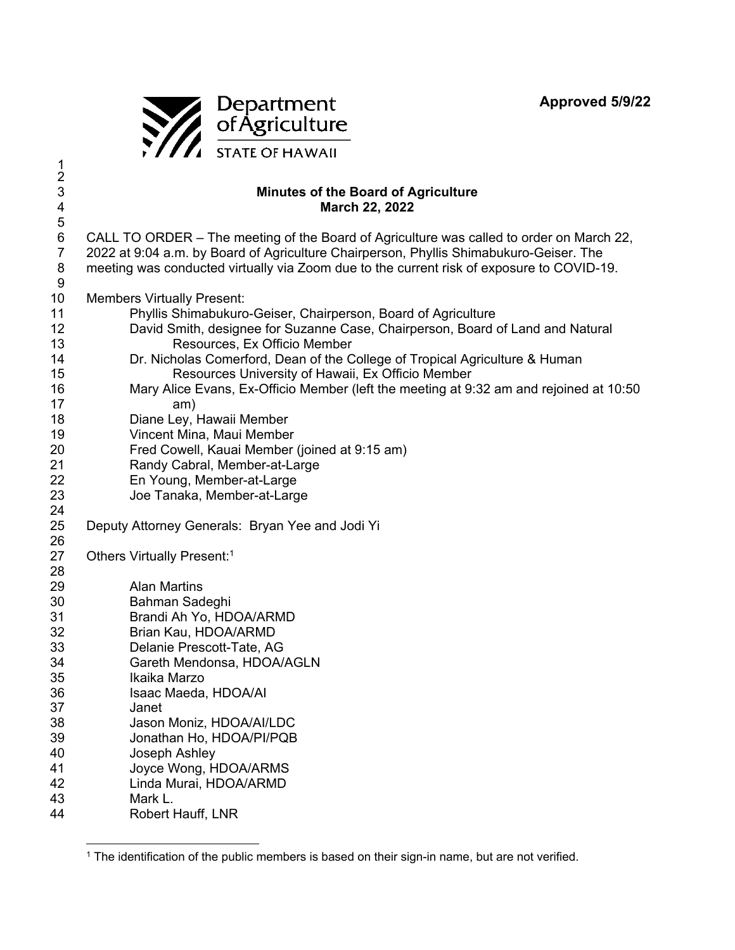**Approved 5/9/22** 



1 2

## 3 **Minutes of the Board of Agriculture**  4 **March 22, 2022**  5 6 CALL TO ORDER – The meeting of the Board of Agriculture was called to order on March 22, 7 2022 at 9:04 a.m. by Board of Agriculture Chairperson, Phyllis Shimabukuro-Geiser. The 8 meeting was conducted virtually via Zoom due to the current risk of exposure to COVID-19. 9 10 Members Virtually Present: 11 Phyllis Shimabukuro-Geiser, Chairperson, Board of Agriculture 12 David Smith, designee for Suzanne Case, Chairperson, Board of Land and Natural 13 Resources, Ex Officio Member 14 Dr. Nicholas Comerford, Dean of the College of Tropical Agriculture & Human 15 Resources University of Hawaii, Ex Officio Member 16 Mary Alice Evans, Ex-Officio Member (left the meeting at 9:32 am and rejoined at 10:50 17 am) 18 Diane Ley, Hawaii Member 19 Vincent Mina, Maui Member 20 Fred Cowell, Kauai Member (joined at 9:15 am) 21 Randy Cabral, Member-at-Large 22 En Young, Member-at-Large 23 Joe Tanaka, Member-at-Large 24 25 Deputy Attorney Generals: Bryan Yee and Jodi Yi 26 27 Others Virtually Present:<sup>1</sup> 28 29 Alan Martins 30 Bahman Sadeghi 31 Brandi Ah Yo, HDOA/ARMD 32 Brian Kau, HDOA/ARMD 33 Delanie Prescott-Tate, AG 34 Gareth Mendonsa, HDOA/AGLN 35 Ikaika Marzo 36 Isaac Maeda, HDOA/AI 37 Janet 38 Jason Moniz, HDOA/AI/LDC 39 Jonathan Ho, HDOA/PI/PQB 40 Joseph Ashley 41 Joyce Wong, HDOA/ARMS 42 Linda Murai, HDOA/ARMD 43 Mark L. 44 Robert Hauff, LNR

<sup>1</sup> The identification of the public members is based on their sign-in name, but are not verified.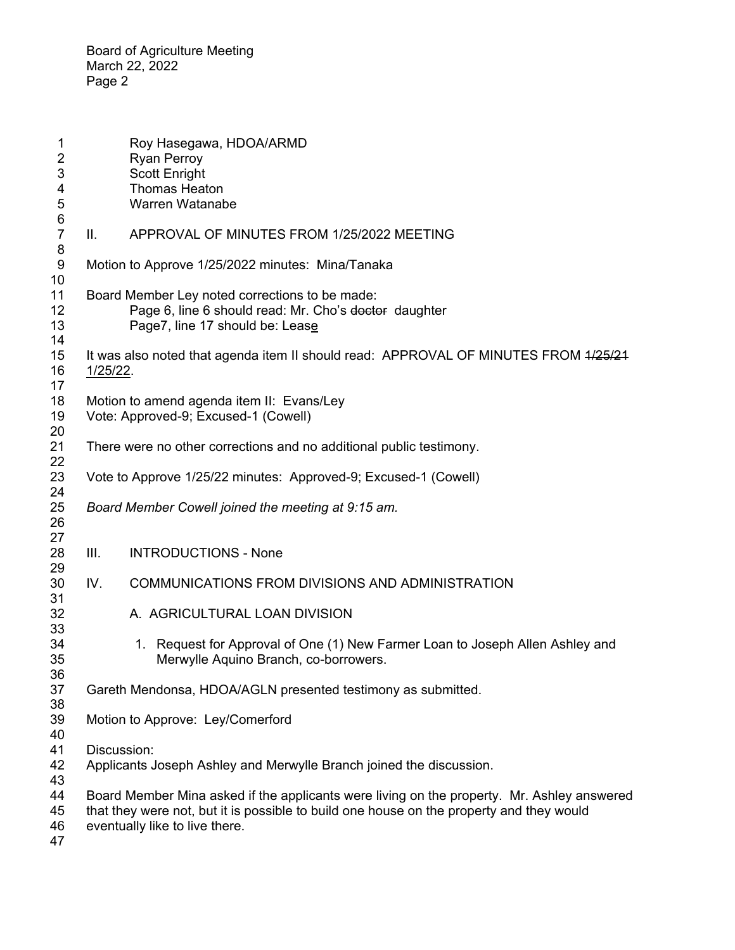| 1                            |                                                                                                                                                                                                                          | Roy Hasegawa, HDOA/ARMD                                                                                                                    |  |
|------------------------------|--------------------------------------------------------------------------------------------------------------------------------------------------------------------------------------------------------------------------|--------------------------------------------------------------------------------------------------------------------------------------------|--|
| 2<br>3                       |                                                                                                                                                                                                                          | <b>Ryan Perroy</b><br>Scott Enright                                                                                                        |  |
| 4                            |                                                                                                                                                                                                                          | <b>Thomas Heaton</b>                                                                                                                       |  |
| 5                            |                                                                                                                                                                                                                          | Warren Watanabe                                                                                                                            |  |
| $\,6$<br>$\overline{7}$<br>8 | Ш.                                                                                                                                                                                                                       | APPROVAL OF MINUTES FROM 1/25/2022 MEETING                                                                                                 |  |
| 9<br>10                      |                                                                                                                                                                                                                          | Motion to Approve 1/25/2022 minutes: Mina/Tanaka                                                                                           |  |
| 11<br>12<br>13<br>14         |                                                                                                                                                                                                                          | Board Member Ley noted corrections to be made:<br>Page 6, line 6 should read: Mr. Cho's doctor daughter<br>Page7, line 17 should be: Lease |  |
| 15<br>16                     | $1/25/22$ .                                                                                                                                                                                                              | It was also noted that agenda item II should read: APPROVAL OF MINUTES FROM 4/25/24                                                        |  |
| 17<br>18<br>19<br>20         |                                                                                                                                                                                                                          | Motion to amend agenda item II: Evans/Ley<br>Vote: Approved-9; Excused-1 (Cowell)                                                          |  |
| 21<br>22                     |                                                                                                                                                                                                                          | There were no other corrections and no additional public testimony.                                                                        |  |
| 23<br>24                     | Vote to Approve 1/25/22 minutes: Approved-9; Excused-1 (Cowell)                                                                                                                                                          |                                                                                                                                            |  |
| 25<br>26                     |                                                                                                                                                                                                                          | Board Member Cowell joined the meeting at 9:15 am.                                                                                         |  |
| 27<br>28<br>29               | III.                                                                                                                                                                                                                     | <b>INTRODUCTIONS - None</b>                                                                                                                |  |
| 30<br>31                     | IV.                                                                                                                                                                                                                      | COMMUNICATIONS FROM DIVISIONS AND ADMINISTRATION                                                                                           |  |
| 32<br>33                     |                                                                                                                                                                                                                          | A. AGRICULTURAL LOAN DIVISION                                                                                                              |  |
| 34<br>35<br>36               |                                                                                                                                                                                                                          | 1. Request for Approval of One (1) New Farmer Loan to Joseph Allen Ashley and<br>Merwylle Aquino Branch, co-borrowers.                     |  |
| 37<br>38                     | Gareth Mendonsa, HDOA/AGLN presented testimony as submitted.                                                                                                                                                             |                                                                                                                                            |  |
| 39<br>40                     |                                                                                                                                                                                                                          | Motion to Approve: Ley/Comerford                                                                                                           |  |
| 41                           | Discussion:                                                                                                                                                                                                              |                                                                                                                                            |  |
| 42<br>43                     | Applicants Joseph Ashley and Merwylle Branch joined the discussion.                                                                                                                                                      |                                                                                                                                            |  |
| 44<br>45<br>46<br>47         | Board Member Mina asked if the applicants were living on the property. Mr. Ashley answered<br>that they were not, but it is possible to build one house on the property and they would<br>eventually like to live there. |                                                                                                                                            |  |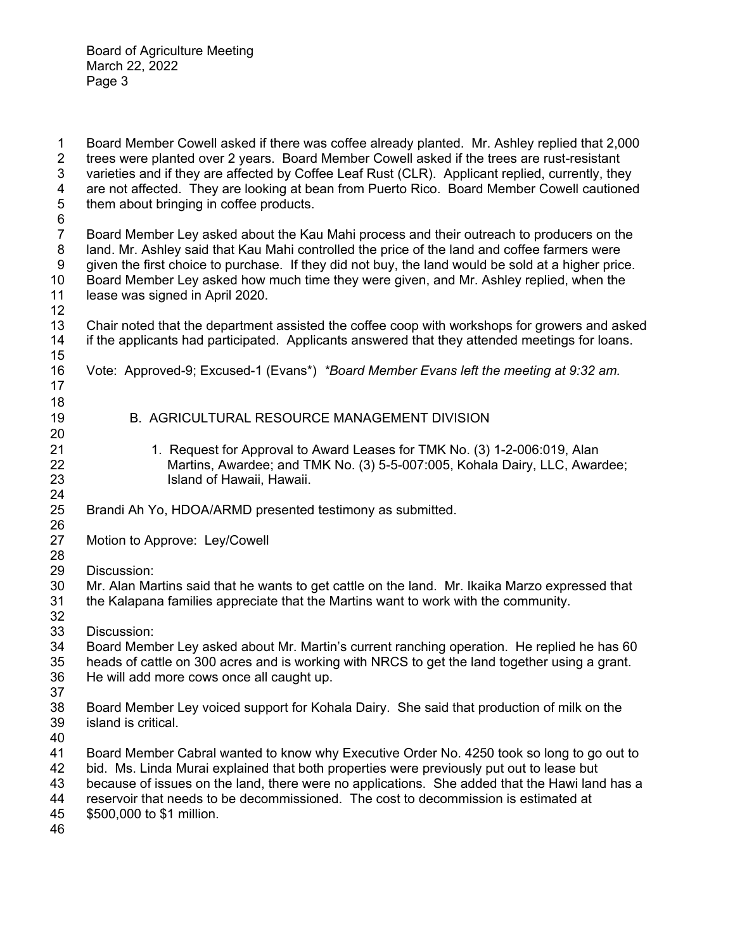1 Board Member Cowell asked if there was coffee already planted. Mr. Ashley replied that 2,000<br>2 trees were planted over 2 years. Board Member Cowell asked if the trees are rust-resistant 2 trees were planted over 2 years. Board Member Cowell asked if the trees are rust-resistant 3 varieties and if they are affected by Coffee Leaf Rust (CLR). Applicant replied, currently, they 4 are not affected. They are looking at bean from Puerto Rico. Board Member Cowell cautioned 5 them about bringing in coffee products. 6 7 Board Member Ley asked about the Kau Mahi process and their outreach to producers on the 8 land. Mr. Ashley said that Kau Mahi controlled the price of the land and coffee farmers were 9 given the first choice to purchase. If they did not buy, the land would be sold at a higher price. 10 Board Member Ley asked how much time they were given, and Mr. Ashley replied, when the 11 lease was signed in April 2020. 12 13 Chair noted that the department assisted the coffee coop with workshops for growers and asked 14 if the applicants had participated. Applicants answered that they attended meetings for loans. 15 16 Vote: Approved-9; Excused-1 (Evans\*) *\*Board Member Evans left the meeting at 9:32 am.* 17 18 19 B. AGRICULTURAL RESOURCE MANAGEMENT DIVISION 20 21 1. Request for Approval to Award Leases for TMK No. (3) 1-2-006:019, Alan 22 Martins, Awardee; and TMK No. (3) 5-5-007:005, Kohala Dairy, LLC, Awardee; 23 Island of Hawaii, Hawaii. 24 25 Brandi Ah Yo, HDOA/ARMD presented testimony as submitted. 26 27 Motion to Approve: Ley/Cowell 28 29 Discussion: 30 Mr. Alan Martins said that he wants to get cattle on the land. Mr. Ikaika Marzo expressed that 31 the Kalapana families appreciate that the Martins want to work with the community. 32 33 Discussion: 34 Board Member Ley asked about Mr. Martin's current ranching operation. He replied he has 60 35 heads of cattle on 300 acres and is working with NRCS to get the land together using a grant. 36 He will add more cows once all caught up. 37 38 Board Member Ley voiced support for Kohala Dairy. She said that production of milk on the 39 island is critical. 40 41 Board Member Cabral wanted to know why Executive Order No. 4250 took so long to go out to 42 bid. Ms. Linda Murai explained that both properties were previously put out to lease but 43 because of issues on the land, there were no applications. She added that the Hawi land has a 44 reservoir that needs to be decommissioned. The cost to decommission is estimated at 45 \$500,000 to \$1 million. 46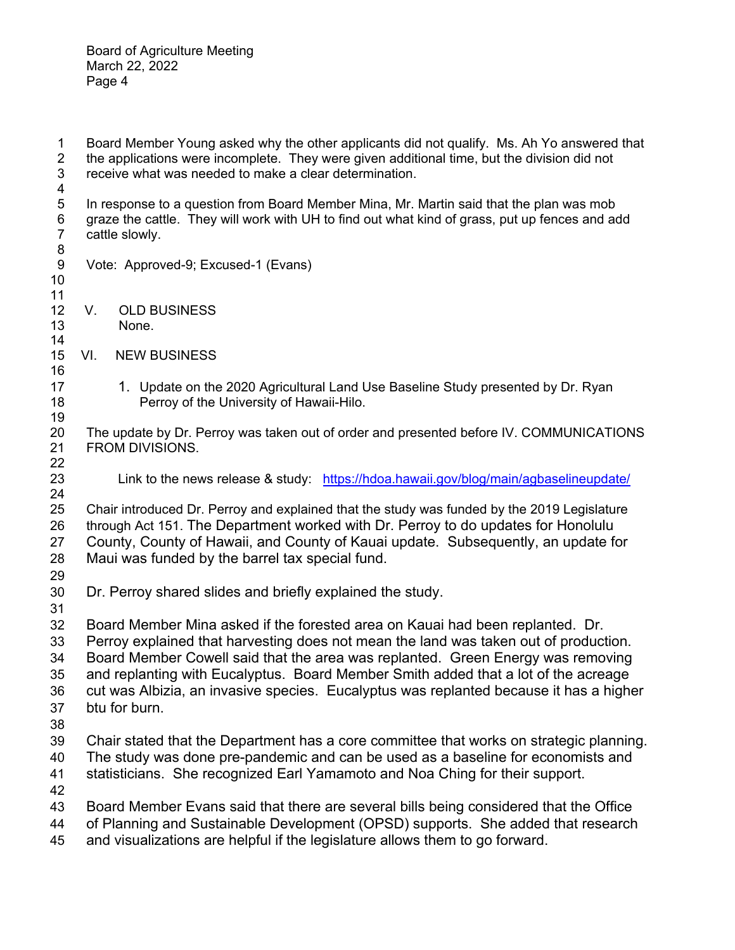1 Board Member Young asked why the other applicants did not qualify. Ms. Ah Yo answered that 2 the applications were incomplete. They were given additional time, but the division did not 2 the applications were incomplete. They were given additional time, but the division did not receive what was needed to make a clear determination. receive what was needed to make a clear determination. 4 5 In response to a question from Board Member Mina, Mr. Martin said that the plan was mob 6 graze the cattle. They will work with UH to find out what kind of grass, put up fences and add 7 cattle slowly. 8 9 Vote: Approved-9; Excused-1 (Evans) 10 11 12 V. OLD BUSINESS 13 None. 14 15 VI. NEW BUSINESS 16 17 1. Update on the 2020 Agricultural Land Use Baseline Study presented by Dr. Ryan 18 Perroy of the University of Hawaii-Hilo. 19 20 The update by Dr. Perroy was taken out of order and presented before IV. COMMUNICATIONS 21 FROM DIVISIONS. 22 23 Link to the news release & study: https://hdoa.hawaii.gov/blog/main/agbaselineupdate/ 24 25 Chair introduced Dr. Perroy and explained that the study was funded by the 2019 Legislature 26 through Act 151. The Department worked with Dr. Perroy to do updates for Honolulu 27 County, County of Hawaii, and County of Kauai update. Subsequently, an update for 28 Maui was funded by the barrel tax special fund. 29 30 Dr. Perroy shared slides and briefly explained the study. 31 32 Board Member Mina asked if the forested area on Kauai had been replanted. Dr. 33 Perroy explained that harvesting does not mean the land was taken out of production. 34 Board Member Cowell said that the area was replanted. Green Energy was removing 35 and replanting with Eucalyptus. Board Member Smith added that a lot of the acreage 36 cut was Albizia, an invasive species. Eucalyptus was replanted because it has a higher 37 btu for burn. 38 39 Chair stated that the Department has a core committee that works on strategic planning. 40 The study was done pre-pandemic and can be used as a baseline for economists and 41 statisticians. She recognized Earl Yamamoto and Noa Ching for their support. 42 43 Board Member Evans said that there are several bills being considered that the Office 44 of Planning and Sustainable Development (OPSD) supports. She added that research

45 and visualizations are helpful if the legislature allows them to go forward.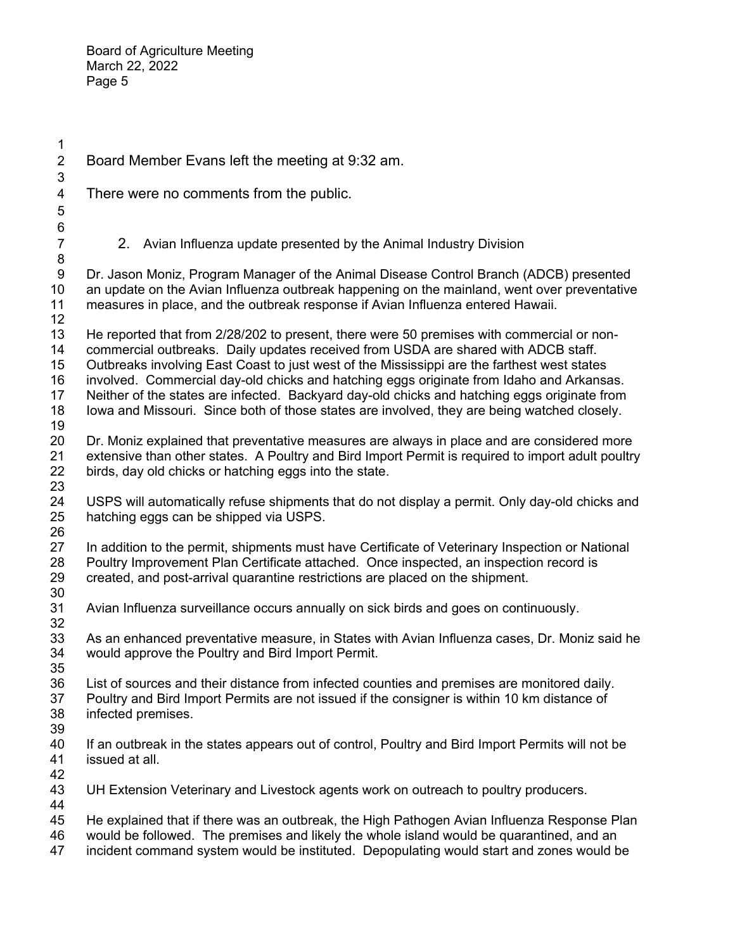1 2 Board Member Evans left the meeting at 9:32 am. 3 4 There were no comments from the public. 5 6 7 2. Avian Influenza update presented by the Animal Industry Division 8 9 Dr. Jason Moniz, Program Manager of the Animal Disease Control Branch (ADCB) presented 10 an update on the Avian Influenza outbreak happening on the mainland, went over preventative 11 measures in place, and the outbreak response if Avian Influenza entered Hawaii. 12 13 He reported that from 2/28/202 to present, there were 50 premises with commercial or non-14 commercial outbreaks. Daily updates received from USDA are shared with ADCB staff. 15 Outbreaks involving East Coast to just west of the Mississippi are the farthest west states 16 involved. Commercial day-old chicks and hatching eggs originate from Idaho and Arkansas. 17 Neither of the states are infected. Backyard day-old chicks and hatching eggs originate from 18 Iowa and Missouri. Since both of those states are involved, they are being watched closely. 19 20 Dr. Moniz explained that preventative measures are always in place and are considered more 21 extensive than other states. A Poultry and Bird Import Permit is required to import adult poultry 22 birds, day old chicks or hatching eggs into the state. 23 24 USPS will automatically refuse shipments that do not display a permit. Only day-old chicks and 25 hatching eggs can be shipped via USPS. 26 27 In addition to the permit, shipments must have Certificate of Veterinary Inspection or National 28 Poultry Improvement Plan Certificate attached. Once inspected, an inspection record is 29 created, and post-arrival quarantine restrictions are placed on the shipment. 30 31 Avian Influenza surveillance occurs annually on sick birds and goes on continuously. 32 33 As an enhanced preventative measure, in States with Avian Influenza cases, Dr. Moniz said he 34 would approve the Poultry and Bird Import Permit. 35 36 List of sources and their distance from infected counties and premises are monitored daily. 37 Poultry and Bird Import Permits are not issued if the consigner is within 10 km distance of 38 infected premises. 39 40 If an outbreak in the states appears out of control, Poultry and Bird Import Permits will not be 41 issued at all. 42 43 UH Extension Veterinary and Livestock agents work on outreach to poultry producers. 44 45 He explained that if there was an outbreak, the High Pathogen Avian Influenza Response Plan 46 would be followed. The premises and likely the whole island would be quarantined, and an 47 incident command system would be instituted. Depopulating would start and zones would be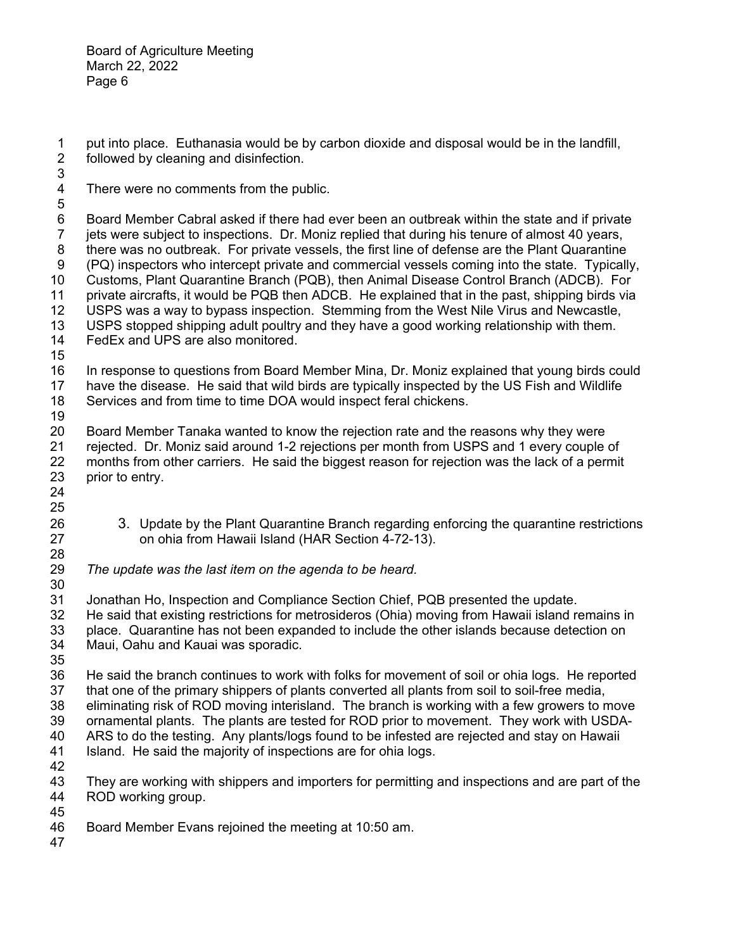1 put into place. Euthanasia would be by carbon dioxide and disposal would be in the landfill,<br>2 followed by cleaning and disinfection. followed by cleaning and disinfection.

- 3 4 There were no comments from the public.
- 5

6 Board Member Cabral asked if there had ever been an outbreak within the state and if private 7 jets were subject to inspections. Dr. Moniz replied that during his tenure of almost 40 years, 8 there was no outbreak. For private vessels, the first line of defense are the Plant Quarantine 9 (PQ) inspectors who intercept private and commercial vessels coming into the state. Typically, 10 Customs, Plant Quarantine Branch (PQB), then Animal Disease Control Branch (ADCB). For 11 private aircrafts, it would be PQB then ADCB. He explained that in the past, shipping birds via 12 USPS was a way to bypass inspection. Stemming from the West Nile Virus and Newcastle,

- 13 USPS stopped shipping adult poultry and they have a good working relationship with them. 14 FedEx and UPS are also monitored.
- 15
- 16 In response to questions from Board Member Mina, Dr. Moniz explained that young birds could 17 have the disease. He said that wild birds are typically inspected by the US Fish and Wildlife 18 Services and from time to time DOA would inspect feral chickens.
- 19
- 20 Board Member Tanaka wanted to know the rejection rate and the reasons why they were 21 rejected. Dr. Moniz said around 1-2 rejections per month from USPS and 1 every couple of 22 months from other carriers. He said the biggest reason for rejection was the lack of a permit 23 prior to entry.
- 24 25

28

- 26 3. Update by the Plant Quarantine Branch regarding enforcing the quarantine restrictions 27 on ohia from Hawaii Island (HAR Section 4-72-13).
- 29 *The update was the last item on the agenda to be heard.*

30 31 Jonathan Ho, Inspection and Compliance Section Chief, PQB presented the update. 32 He said that existing restrictions for metrosideros (Ohia) moving from Hawaii island remains in 33 place. Quarantine has not been expanded to include the other islands because detection on 34 Maui, Oahu and Kauai was sporadic.

35

36 He said the branch continues to work with folks for movement of soil or ohia logs. He reported 37 that one of the primary shippers of plants converted all plants from soil to soil-free media, 38 eliminating risk of ROD moving interisland. The branch is working with a few growers to move

- 39 ornamental plants. The plants are tested for ROD prior to movement. They work with USDA-40 ARS to do the testing. Any plants/logs found to be infested are rejected and stay on Hawaii
- 41 Island. He said the majority of inspections are for ohia logs.
- 42

43 They are working with shippers and importers for permitting and inspections and are part of the 44 ROD working group. 45

- 46 Board Member Evans rejoined the meeting at 10:50 am.
- 47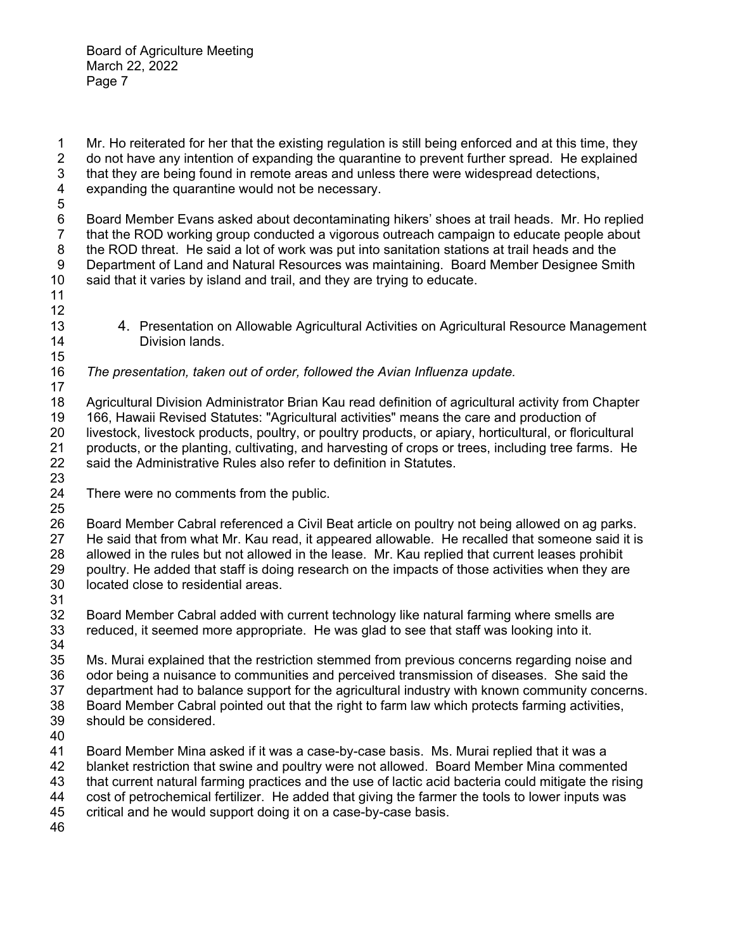1 Mr. Ho reiterated for her that the existing regulation is still being enforced and at this time, they<br>2 do not have any intention of expanding the quarantine to prevent further spread. He explained 2 do not have any intention of expanding the quarantine to prevent further spread. He explained 3 that they are being found in remote areas and unless there were widespread detections, 4 expanding the quarantine would not be necessary.

5 6 Board Member Evans asked about decontaminating hikers' shoes at trail heads. Mr. Ho replied 7 that the ROD working group conducted a vigorous outreach campaign to educate people about 8 the ROD threat. He said a lot of work was put into sanitation stations at trail heads and the 9 Department of Land and Natural Resources was maintaining. Board Member Designee Smith 10 said that it varies by island and trail, and they are trying to educate.

- 13 4. Presentation on Allowable Agricultural Activities on Agricultural Resource Management 14 Division lands.
- 16 *The presentation, taken out of order, followed the Avian Influenza update.*

17 18 Agricultural Division Administrator Brian Kau read definition of agricultural activity from Chapter 19 166, Hawaii Revised Statutes: "Agricultural activities" means the care and production of 20 livestock, livestock products, poultry, or poultry products, or apiary, horticultural, or floricultural 21 products, or the planting, cultivating, and harvesting of crops or trees, including tree farms. He 22 said the Administrative Rules also refer to definition in Statutes.

23

11 12

15

24 There were no comments from the public.

25 26 Board Member Cabral referenced a Civil Beat article on poultry not being allowed on ag parks. 27 He said that from what Mr. Kau read, it appeared allowable. He recalled that someone said it is 28 allowed in the rules but not allowed in the lease. Mr. Kau replied that current leases prohibit 29 poultry. He added that staff is doing research on the impacts of those activities when they are 30 located close to residential areas.

31

32 Board Member Cabral added with current technology like natural farming where smells are 33 reduced, it seemed more appropriate. He was glad to see that staff was looking into it. 34

35 Ms. Murai explained that the restriction stemmed from previous concerns regarding noise and 36 odor being a nuisance to communities and perceived transmission of diseases. She said the 37 department had to balance support for the agricultural industry with known community concerns. 38 Board Member Cabral pointed out that the right to farm law which protects farming activities,

- 39 should be considered.
- 40

41 Board Member Mina asked if it was a case-by-case basis. Ms. Murai replied that it was a

42 blanket restriction that swine and poultry were not allowed. Board Member Mina commented

43 that current natural farming practices and the use of lactic acid bacteria could mitigate the rising 44 cost of petrochemical fertilizer. He added that giving the farmer the tools to lower inputs was

45 critical and he would support doing it on a case-by-case basis.

46